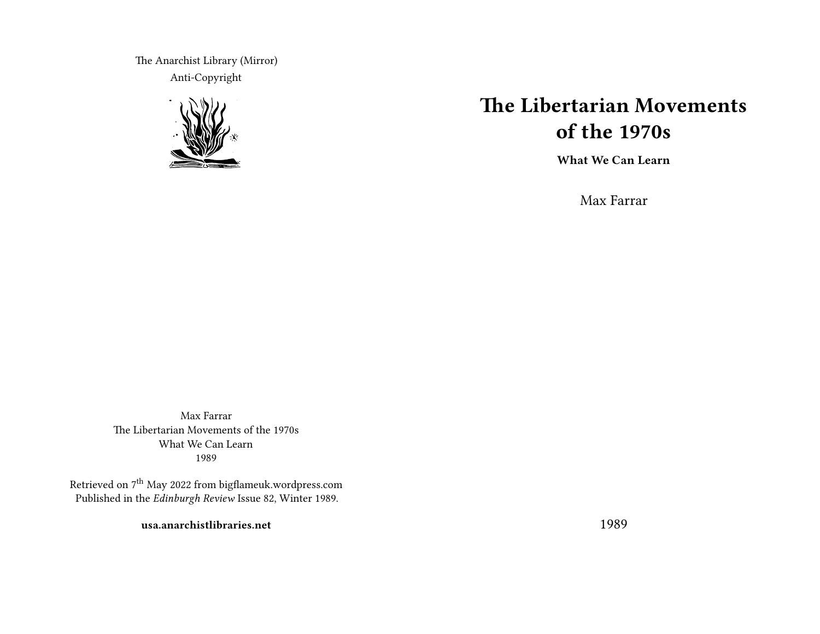The Anarchist Library (Mirror) Anti-Copyright



# **The Libertarian Movements of the 1970s**

**What We Can Learn**

Max Farrar

Max Farrar The Libertarian Movements of the 1970s What We Can Learn 1989

Retrieved on 7<sup>th</sup> May 2022 from bigflameuk.wordpress.com Published in the *Edinburgh Review* Issue 82, Winter 1989.

**usa.anarchistlibraries.net**

1989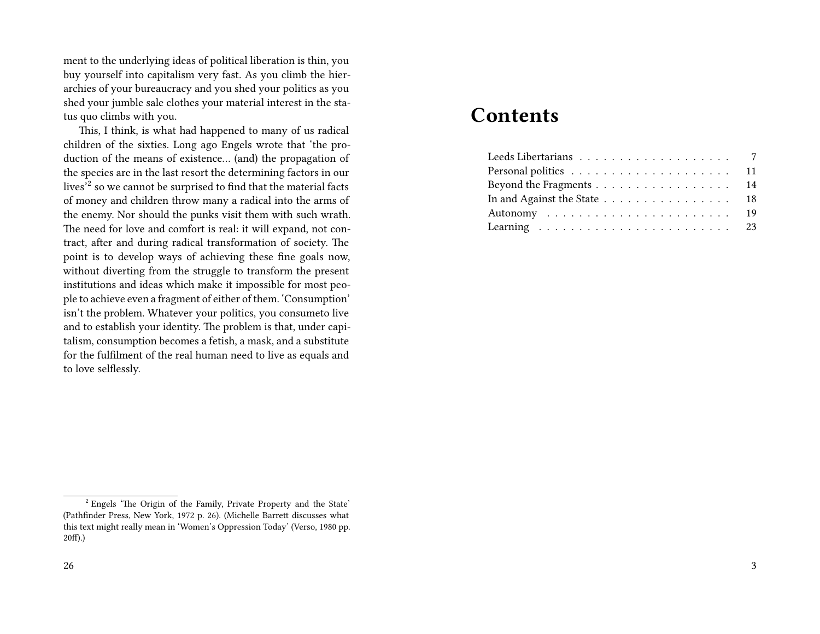ment to the underlying ideas of political liberation is thin, you buy yourself into capitalism very fast. As you climb the hierarchies of your bureaucracy and you shed your politics as you shed your jumble sale clothes your material interest in the status quo climbs with you.

This, I think, is what had happened to many of us radical children of the sixties. Long ago Engels wrote that 'the production of the means of existence… (and) the propagation of the species are in the last resort the determining factors in our lives<sup>'2</sup> so we cannot be surprised to find that the material facts of money and children throw many a radical into the arms of the enemy. Nor should the punks visit them with such wrath. The need for love and comfort is real: it will expand, not contract, after and during radical transformation of society. The point is to develop ways of achieving these fine goals now, without diverting from the struggle to transform the present institutions and ideas which make it impossible for most people to achieve even a fragment of either of them. 'Consumption' isn't the problem. Whatever your politics, you consumeto live and to establish your identity. The problem is that, under capitalism, consumption becomes a fetish, a mask, and a substitute for the fulfilment of the real human need to live as equals and to love selflessly.

## **Contents**

| Beyond the Fragments 14     |  |
|-----------------------------|--|
| In and Against the State 18 |  |
|                             |  |
|                             |  |

<sup>&</sup>lt;sup>2</sup> Engels 'The Origin of the Family, Private Property and the State' (Pathfinder Press, New York, 1972 p. 26). (Michelle Barrett discusses what this text might really mean in 'Women's Oppression Today' (Verso, 1980 pp. 20f).)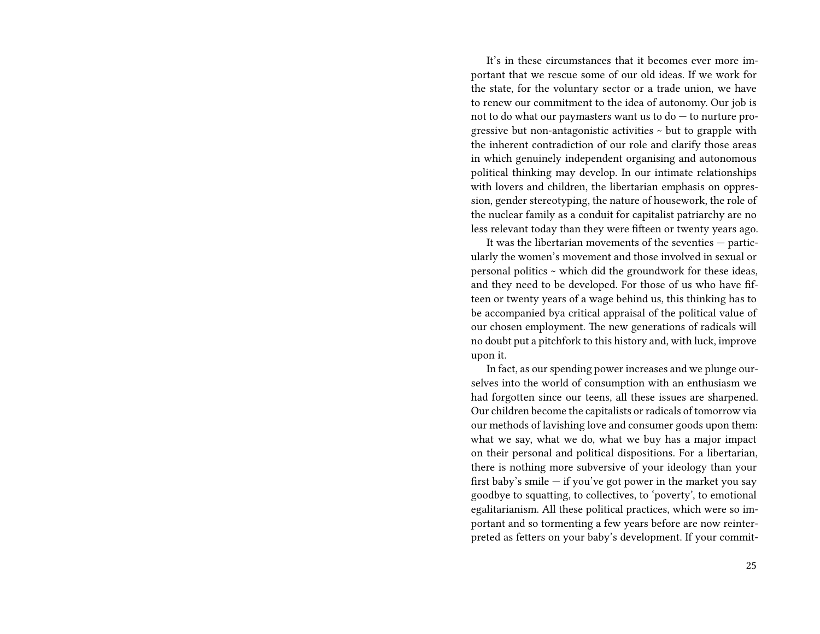It's in these circumstances that it becomes ever more important that we rescue some of our old ideas. If we work for the state, for the voluntary sector or a trade union, we have to renew our commitment to the idea of autonomy. Our job is not to do what our paymasters want us to do — to nurture progressive but non-antagonistic activities ~ but to grapple with the inherent contradiction of our role and clarify those areas in which genuinely independent organising and autonomous political thinking may develop. In our intimate relationships with lovers and children, the libertarian emphasis on oppression, gender stereotyping, the nature of housework, the role of the nuclear family as a conduit for capitalist patriarchy are no less relevant today than they were fifteen or twenty years ago.

It was the libertarian movements of the seventies — particularly the women's movement and those involved in sexual or personal politics ~ which did the groundwork for these ideas, and they need to be developed. For those of us who have fifteen or twenty years of a wage behind us, this thinking has to be accompanied bya critical appraisal of the political value of our chosen employment. The new generations of radicals will no doubt put a pitchfork to this history and, with luck, improve upon it.

In fact, as our spending power increases and we plunge ourselves into the world of consumption with an enthusiasm we had forgotten since our teens, all these issues are sharpened. Our children become the capitalists or radicals of tomorrow via our methods of lavishing love and consumer goods upon them: what we say, what we do, what we buy has a major impact on their personal and political dispositions. For a libertarian, there is nothing more subversive of your ideology than your first baby's smile  $-$  if you've got power in the market you say goodbye to squatting, to collectives, to 'poverty', to emotional egalitarianism. All these political practices, which were so important and so tormenting a few years before are now reinterpreted as fetters on your baby's development. If your commit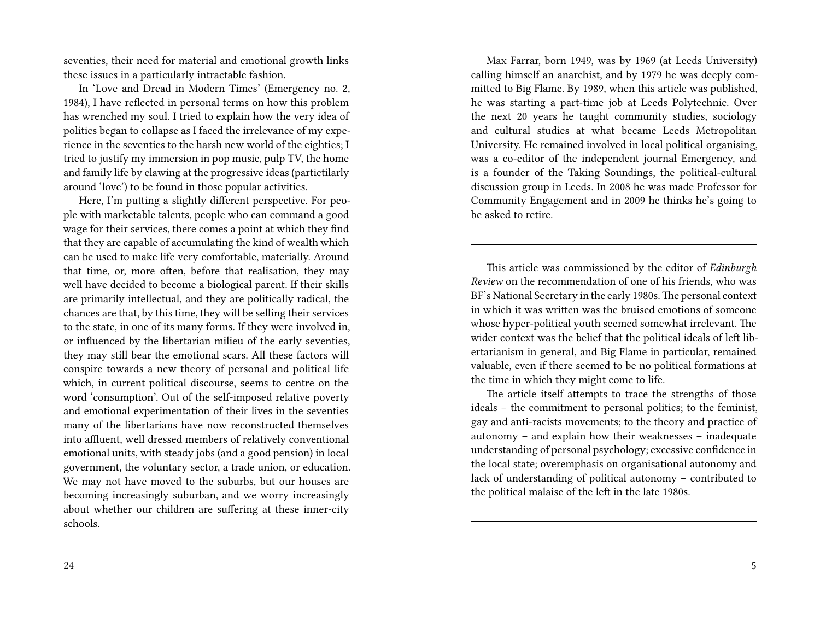seventies, their need for material and emotional growth links these issues in a particularly intractable fashion.

In 'Love and Dread in Modern Times' (Emergency no. 2, 1984), I have reflected in personal terms on how this problem has wrenched my soul. I tried to explain how the very idea of politics began to collapse as I faced the irrelevance of my experience in the seventies to the harsh new world of the eighties; I tried to justify my immersion in pop music, pulp TV, the home and family life by clawing at the progressive ideas (partictilarly around 'love') to be found in those popular activities.

Here, I'm putting a slightly different perspective. For people with marketable talents, people who can command a good wage for their services, there comes a point at which they find that they are capable of accumulating the kind of wealth which can be used to make life very comfortable, materially. Around that time, or, more often, before that realisation, they may well have decided to become a biological parent. If their skills are primarily intellectual, and they are politically radical, the chances are that, by this time, they will be selling their services to the state, in one of its many forms. If they were involved in, or influenced by the libertarian milieu of the early seventies, they may still bear the emotional scars. All these factors will conspire towards a new theory of personal and political life which, in current political discourse, seems to centre on the word 'consumption'. Out of the self-imposed relative poverty and emotional experimentation of their lives in the seventies many of the libertarians have now reconstructed themselves into affluent, well dressed members of relatively conventional emotional units, with steady jobs (and a good pension) in local government, the voluntary sector, a trade union, or education. We may not have moved to the suburbs, but our houses are becoming increasingly suburban, and we worry increasingly about whether our children are suffering at these inner-city schools.

Max Farrar, born 1949, was by 1969 (at Leeds University) calling himself an anarchist, and by 1979 he was deeply committed to Big Flame. By 1989, when this article was published, he was starting a part-time job at Leeds Polytechnic. Over the next 20 years he taught community studies, sociology and cultural studies at what became Leeds Metropolitan University. He remained involved in local political organising, was a co-editor of the independent journal Emergency, and is a founder of the Taking Soundings, the political-cultural discussion group in Leeds. In 2008 he was made Professor for Community Engagement and in 2009 he thinks he's going to be asked to retire.

This article was commissioned by the editor of *Edinburgh Review* on the recommendation of one of his friends, who was BF's National Secretary in the early 1980s. The personal context in which it was written was the bruised emotions of someone whose hyper-political youth seemed somewhat irrelevant. The wider context was the belief that the political ideals of left libertarianism in general, and Big Flame in particular, remained valuable, even if there seemed to be no political formations at the time in which they might come to life.

The article itself attempts to trace the strengths of those ideals – the commitment to personal politics; to the feminist, gay and anti-racists movements; to the theory and practice of autonomy – and explain how their weaknesses – inadequate understanding of personal psychology; excessive confidence in the local state; overemphasis on organisational autonomy and lack of understanding of political autonomy – contributed to the political malaise of the left in the late 1980s.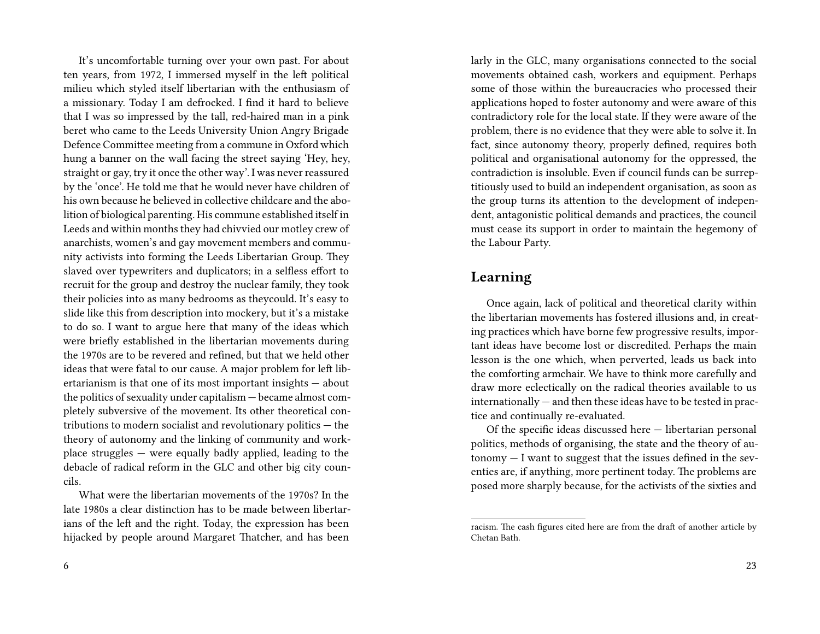It's uncomfortable turning over your own past. For about ten years, from 1972, I immersed myself in the left political milieu which styled itself libertarian with the enthusiasm of a missionary. Today I am defrocked. I find it hard to believe that I was so impressed by the tall, red-haired man in a pink beret who came to the Leeds University Union Angry Brigade Defence Committee meeting from a commune in Oxford which hung a banner on the wall facing the street saying 'Hey, hey, straight or gay, try it once the other way'. I was never reassured by the 'once'. He told me that he would never have children of his own because he believed in collective childcare and the abolition of biological parenting. His commune established itself in Leeds and within months they had chivvied our motley crew of anarchists, women's and gay movement members and community activists into forming the Leeds Libertarian Group. They slaved over typewriters and duplicators; in a selfless effort to recruit for the group and destroy the nuclear family, they took their policies into as many bedrooms as theycould. It's easy to slide like this from description into mockery, but it's a mistake to do so. I want to argue here that many of the ideas which were briefly established in the libertarian movements during the 1970s are to be revered and refined, but that we held other ideas that were fatal to our cause. A major problem for left libertarianism is that one of its most important insights — about the politics of sexuality under capitalism — became almost completely subversive of the movement. Its other theoretical contributions to modern socialist and revolutionary politics — the theory of autonomy and the linking of community and workplace struggles — were equally badly applied, leading to the debacle of radical reform in the GLC and other big city councils.

What were the libertarian movements of the 1970s? In the late 1980s a clear distinction has to be made between libertarians of the left and the right. Today, the expression has been hijacked by people around Margaret Thatcher, and has been

larly in the GLC, many organisations connected to the social movements obtained cash, workers and equipment. Perhaps some of those within the bureaucracies who processed their applications hoped to foster autonomy and were aware of this contradictory role for the local state. If they were aware of the problem, there is no evidence that they were able to solve it. In fact, since autonomy theory, properly defined, requires both political and organisational autonomy for the oppressed, the contradiction is insoluble. Even if council funds can be surreptitiously used to build an independent organisation, as soon as the group turns its attention to the development of independent, antagonistic political demands and practices, the council must cease its support in order to maintain the hegemony of the Labour Party.

## **Learning**

Once again, lack of political and theoretical clarity within the libertarian movements has fostered illusions and, in creating practices which have borne few progressive results, important ideas have become lost or discredited. Perhaps the main lesson is the one which, when perverted, leads us back into the comforting armchair. We have to think more carefully and draw more eclectically on the radical theories available to us internationally — and then these ideas have to be tested in practice and continually re-evaluated.

Of the specific ideas discussed here — libertarian personal politics, methods of organising, the state and the theory of autonomy — I want to suggest that the issues defined in the seventies are, if anything, more pertinent today. The problems are posed more sharply because, for the activists of the sixties and

racism. The cash figures cited here are from the draft of another article by Chetan Bath.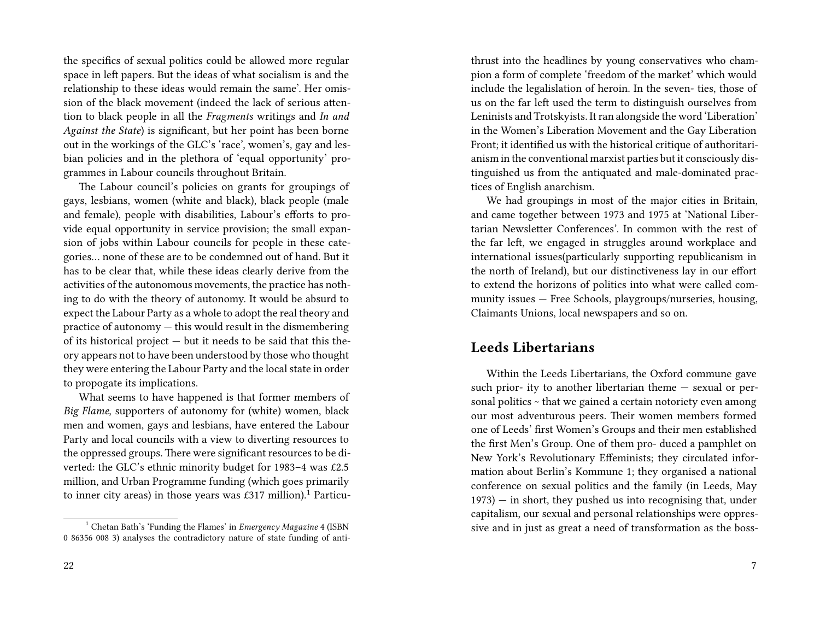the specifics of sexual politics could be allowed more regular space in left papers. But the ideas of what socialism is and the relationship to these ideas would remain the same'. Her omission of the black movement (indeed the lack of serious attention to black people in all the *Fragments* writings and *In and Against the State*) is significant, but her point has been borne out in the workings of the GLC's 'race', women's, gay and lesbian policies and in the plethora of 'equal opportunity' programmes in Labour councils throughout Britain.

The Labour council's policies on grants for groupings of gays, lesbians, women (white and black), black people (male and female), people with disabilities, Labour's efforts to provide equal opportunity in service provision; the small expansion of jobs within Labour councils for people in these categories… none of these are to be condemned out of hand. But it has to be clear that, while these ideas clearly derive from the activities of the autonomous movements, the practice has nothing to do with the theory of autonomy. It would be absurd to expect the Labour Party as a whole to adopt the real theory and practice of autonomy — this would result in the dismembering of its historical project — but it needs to be said that this theory appears not to have been understood by those who thought they were entering the Labour Party and the local state in order to propogate its implications.

What seems to have happened is that former members of *Big Flame*, supporters of autonomy for (white) women, black men and women, gays and lesbians, have entered the Labour Party and local councils with a view to diverting resources to the oppressed groups. There were significant resources to be diverted: the GLC's ethnic minority budget for 1983–4 was £2.5 million, and Urban Programme funding (which goes primarily to inner city areas) in those years was £317 million).<sup>1</sup> Particuthrust into the headlines by young conservatives who champion a form of complete 'freedom of the market' which would include the legalislation of heroin. In the seven- ties, those of us on the far left used the term to distinguish ourselves from Leninists and Trotskyists. It ran alongside the word 'Liberation' in the Women's Liberation Movement and the Gay Liberation Front; it identified us with the historical critique of authoritarianism in the conventional marxist parties but it consciously distinguished us from the antiquated and male-dominated practices of English anarchism.

We had groupings in most of the major cities in Britain, and came together between 1973 and 1975 at 'National Libertarian Newsletter Conferences'. In common with the rest of the far left, we engaged in struggles around workplace and international issues(particularly supporting republicanism in the north of Ireland), but our distinctiveness lay in our effort to extend the horizons of politics into what were called community issues — Free Schools, playgroups/nurseries, housing, Claimants Unions, local newspapers and so on.

## **Leeds Libertarians**

Within the Leeds Libertarians, the Oxford commune gave such prior- ity to another libertarian theme — sexual or personal politics ~ that we gained a certain notoriety even among our most adventurous peers. Their women members formed one of Leeds' first Women's Groups and their men established the first Men's Group. One of them pro- duced a pamphlet on New York's Revolutionary Effeminists; they circulated information about Berlin's Kommune 1; they organised a national conference on sexual politics and the family (in Leeds, May  $1973$ ) — in short, they pushed us into recognising that, under capitalism, our sexual and personal relationships were oppressive and in just as great a need of transformation as the boss-

<sup>1</sup> Chetan Bath's 'Funding the Flames' in *Emergency Magazine* 4 (ISBN 0 86356 008 3) analyses the contradictory nature of state funding of anti-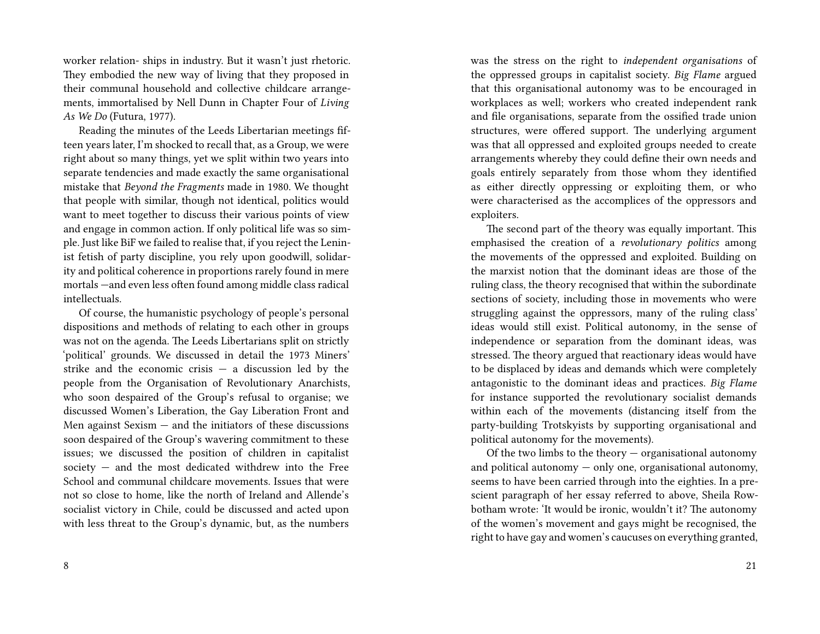worker relation- ships in industry. But it wasn't just rhetoric. They embodied the new way of living that they proposed in their communal household and collective childcare arrangements, immortalised by Nell Dunn in Chapter Four of *Living As We Do* (Futura, 1977).

Reading the minutes of the Leeds Libertarian meetings fifteen years later, I'm shocked to recall that, as a Group, we were right about so many things, yet we split within two years into separate tendencies and made exactly the same organisational mistake that *Beyond the Fragments* made in 1980. We thought that people with similar, though not identical, politics would want to meet together to discuss their various points of view and engage in common action. If only political life was so simple. Just like BiF we failed to realise that, if you reject the Leninist fetish of party discipline, you rely upon goodwill, solidarity and political coherence in proportions rarely found in mere mortals —and even less often found among middle class radical intellectuals.

Of course, the humanistic psychology of people's personal dispositions and methods of relating to each other in groups was not on the agenda. The Leeds Libertarians split on strictly 'political' grounds. We discussed in detail the 1973 Miners' strike and the economic crisis  $-$  a discussion led by the people from the Organisation of Revolutionary Anarchists, who soon despaired of the Group's refusal to organise; we discussed Women's Liberation, the Gay Liberation Front and Men against Sexism  $-$  and the initiators of these discussions soon despaired of the Group's wavering commitment to these issues; we discussed the position of children in capitalist society — and the most dedicated withdrew into the Free School and communal childcare movements. Issues that were not so close to home, like the north of Ireland and Allende's socialist victory in Chile, could be discussed and acted upon with less threat to the Group's dynamic, but, as the numbers

was the stress on the right to *independent organisations* of the oppressed groups in capitalist society. *Big Flame* argued that this organisational autonomy was to be encouraged in workplaces as well; workers who created independent rank and file organisations, separate from the ossified trade union structures, were offered support. The underlying argument was that all oppressed and exploited groups needed to create arrangements whereby they could define their own needs and goals entirely separately from those whom they identified as either directly oppressing or exploiting them, or who were characterised as the accomplices of the oppressors and exploiters.

The second part of the theory was equally important. This emphasised the creation of a *revolutionary politics* among the movements of the oppressed and exploited. Building on the marxist notion that the dominant ideas are those of the ruling class, the theory recognised that within the subordinate sections of society, including those in movements who were struggling against the oppressors, many of the ruling class' ideas would still exist. Political autonomy, in the sense of independence or separation from the dominant ideas, was stressed. The theory argued that reactionary ideas would have to be displaced by ideas and demands which were completely antagonistic to the dominant ideas and practices. *Big Flame* for instance supported the revolutionary socialist demands within each of the movements (distancing itself from the party-building Trotskyists by supporting organisational and political autonomy for the movements).

Of the two limbs to the theory — organisational autonomy and political autonomy  $-$  only one, organisational autonomy, seems to have been carried through into the eighties. In a prescient paragraph of her essay referred to above, Sheila Rowbotham wrote: 'It would be ironic, wouldn't it? The autonomy of the women's movement and gays might be recognised, the right to have gay and women's caucuses on everything granted,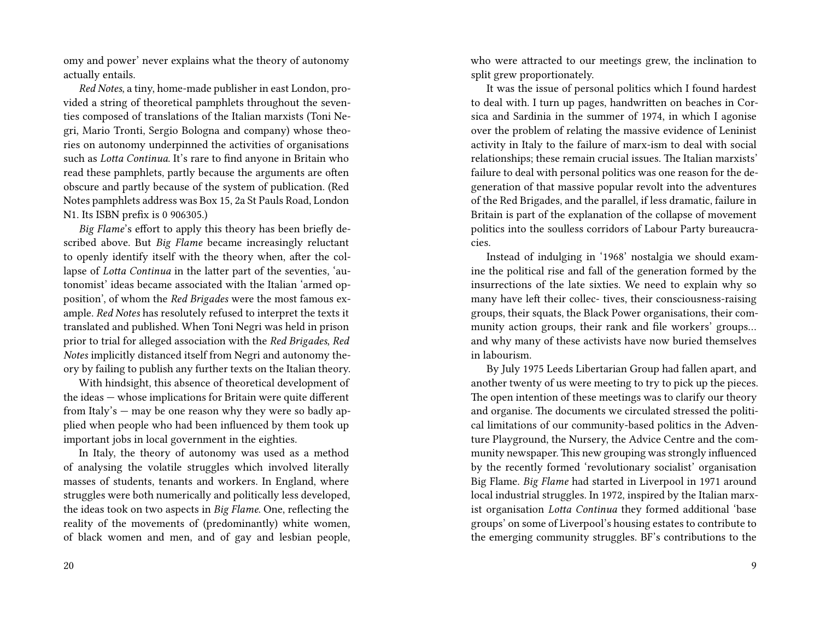omy and power' never explains what the theory of autonomy actually entails.

*Red Notes*, a tiny, home-made publisher in east London, provided a string of theoretical pamphlets throughout the seventies composed of translations of the Italian marxists (Toni Negri, Mario Tronti, Sergio Bologna and company) whose theories on autonomy underpinned the activities of organisations such as *Lotta Continua*. It's rare to find anyone in Britain who read these pamphlets, partly because the arguments are often obscure and partly because of the system of publication. (Red Notes pamphlets address was Box 15, 2a St Pauls Road, London N1. Its ISBN prefix is 0 906305.)

*Big Flame*'s effort to apply this theory has been briefly described above. But *Big Flame* became increasingly reluctant to openly identify itself with the theory when, after the collapse of *Lotta Continua* in the latter part of the seventies, 'autonomist' ideas became associated with the Italian 'armed opposition', of whom the *Red Brigades* were the most famous example. *Red Notes* has resolutely refused to interpret the texts it translated and published. When Toni Negri was held in prison prior to trial for alleged association with the *Red Brigades*, *Red Notes* implicitly distanced itself from Negri and autonomy theory by failing to publish any further texts on the Italian theory.

With hindsight, this absence of theoretical development of the ideas — whose implications for Britain were quite different from Italy's — may be one reason why they were so badly applied when people who had been influenced by them took up important jobs in local government in the eighties.

In Italy, the theory of autonomy was used as a method of analysing the volatile struggles which involved literally masses of students, tenants and workers. In England, where struggles were both numerically and politically less developed, the ideas took on two aspects in *Big Flame*. One, reflecting the reality of the movements of (predominantly) white women, of black women and men, and of gay and lesbian people, who were attracted to our meetings grew, the inclination to split grew proportionately.

It was the issue of personal politics which I found hardest to deal with. I turn up pages, handwritten on beaches in Corsica and Sardinia in the summer of 1974, in which I agonise over the problem of relating the massive evidence of Leninist activity in Italy to the failure of marx-ism to deal with social relationships; these remain crucial issues. The Italian marxists' failure to deal with personal politics was one reason for the degeneration of that massive popular revolt into the adventures of the Red Brigades, and the parallel, if less dramatic, failure in Britain is part of the explanation of the collapse of movement politics into the soulless corridors of Labour Party bureaucracies.

Instead of indulging in '1968' nostalgia we should examine the political rise and fall of the generation formed by the insurrections of the late sixties. We need to explain why so many have left their collec- tives, their consciousness-raising groups, their squats, the Black Power organisations, their community action groups, their rank and file workers' groups… and why many of these activists have now buried themselves in labourism.

By July 1975 Leeds Libertarian Group had fallen apart, and another twenty of us were meeting to try to pick up the pieces. The open intention of these meetings was to clarify our theory and organise. The documents we circulated stressed the political limitations of our community-based politics in the Adventure Playground, the Nursery, the Advice Centre and the community newspaper. This new grouping was strongly influenced by the recently formed 'revolutionary socialist' organisation Big Flame. *Big Flame* had started in Liverpool in 1971 around local industrial struggles. In 1972, inspired by the Italian marxist organisation *Lotta Continua* they formed additional 'base groups' on some of Liverpool's housing estates to contribute to the emerging community struggles. BF's contributions to the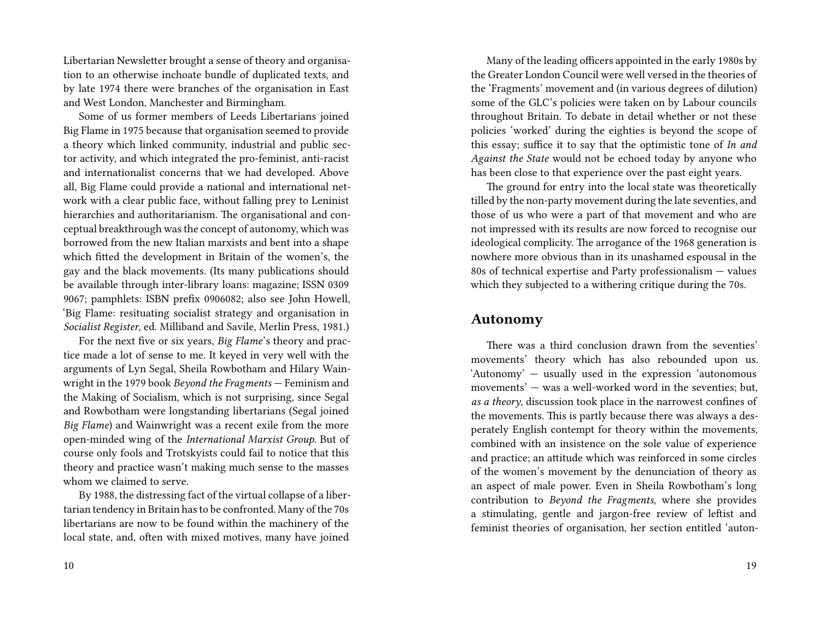Libertarian Newsletter brought a sense of theory and organisation to an otherwise inchoate bundle of duplicated texts, and by late 1974 there were branches of the organisation in East and West London, Manchester and Birmingham.

Some of us former members of Leeds Libertarians joined Big Flame in 1975 because that organisation seemed to provide a theory which linked community, industrial and public sector activity, and which integrated the pro-feminist, anti-racist and internationalist concerns that we had developed. Above all, Big Flame could provide a national and international network with a clear public face, without falling prey to Leninist hierarchies and authoritarianism. The organisational and conceptual breakthrough was the concept of autonomy, which was borrowed from the new Italian marxists and bent into a shape which fitted the development in Britain of the women's, the gay and the black movements. (Its many publications should be available through inter-library loans: magazine; ISSN 0309 9067; pamphlets: ISBN prefix 0906082; also see John Howell, 'Big Flame: resituating socialist strategy and organisation in *Socialist Register*, ed. Milliband and Savile, Merlin Press, 1981.)

For the next five or six years, *Big Flame*'s theory and practice made a lot of sense to me. It keyed in very well with the arguments of Lyn Segal, Sheila Rowbotham and Hilary Wainwright in the 1979 book *Beyond the Fragments* — Feminism and the Making of Socialism, which is not surprising, since Segal and Rowbotham were longstanding libertarians (Segal joined *Big Flame*) and Wainwright was a recent exile from the more open-minded wing of the *International Marxist Group*. But of course only fools and Trotskyists could fail to notice that this theory and practice wasn't making much sense to the masses whom we claimed to serve.

By 1988, the distressing fact of the virtual collapse of a libertarian tendency in Britain has to be confronted. Many of the 70s libertarians are now to be found within the machinery of the local state, and, often with mixed motives, many have joined

Many of the leading officers appointed in the early 1980s by the Greater London Council were well versed in the theories of the 'Fragments' movement and (in various degrees of dilution) some of the GLC's policies were taken on by Labour councils throughout Britain. To debate in detail whether or not these policies 'worked' during the eighties is beyond the scope of this essay; suffice it to say that the optimistic tone of *In and Against the State* would not be echoed today by anyone who has been close to that experience over the past eight years.

The ground for entry into the local state was theoretically tilled by the non-party movement during the late seventies, and those of us who were a part of that movement and who are not impressed with its results are now forced to recognise our ideological complicity. The arrogance of the 1968 generation is nowhere more obvious than in its unashamed espousal in the 80s of technical expertise and Party professionalism — values which they subjected to a withering critique during the 70s.

#### **Autonomy**

There was a third conclusion drawn from the seventies' movements' theory which has also rebounded upon us. 'Autonomy' — usually used in the expression 'autonomous movements' — was a well-worked word in the seventies; but, *as a theory*, discussion took place in the narrowest confines of the movements. This is partly because there was always a desperately English contempt for theory within the movements, combined with an insistence on the sole value of experience and practice; an attitude which was reinforced in some circles of the women's movement by the denunciation of theory as an aspect of male power. Even in Sheila Rowbotham's long contribution to *Beyond the Fragments*, where she provides a stimulating, gentle and jargon-free review of leftist and feminist theories of organisation, her section entitled 'auton-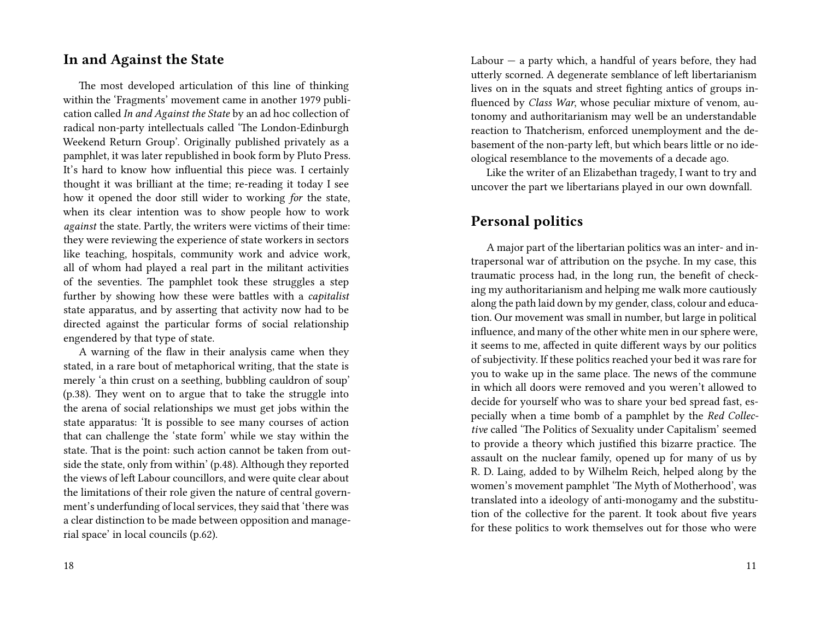### **In and Against the State**

The most developed articulation of this line of thinking within the 'Fragments' movement came in another 1979 publication called *In and Against the State* by an ad hoc collection of radical non-party intellectuals called 'The London-Edinburgh Weekend Return Group'. Originally published privately as a pamphlet, it was later republished in book form by Pluto Press. It's hard to know how influential this piece was. I certainly thought it was brilliant at the time; re-reading it today I see how it opened the door still wider to working *for* the state, when its clear intention was to show people how to work *against* the state. Partly, the writers were victims of their time: they were reviewing the experience of state workers in sectors like teaching, hospitals, community work and advice work, all of whom had played a real part in the militant activities of the seventies. The pamphlet took these struggles a step further by showing how these were battles with a *capitalist* state apparatus, and by asserting that activity now had to be directed against the particular forms of social relationship engendered by that type of state.

A warning of the flaw in their analysis came when they stated, in a rare bout of metaphorical writing, that the state is merely 'a thin crust on a seething, bubbling cauldron of soup' (p.38). They went on to argue that to take the struggle into the arena of social relationships we must get jobs within the state apparatus: 'It is possible to see many courses of action that can challenge the 'state form' while we stay within the state. That is the point: such action cannot be taken from outside the state, only from within' (p.48). Although they reported the views of left Labour councillors, and were quite clear about the limitations of their role given the nature of central government's underfunding of local services, they said that 'there was a clear distinction to be made between opposition and managerial space' in local councils (p.62).

Labour  $-$  a party which, a handful of years before, they had utterly scorned. A degenerate semblance of left libertarianism lives on in the squats and street fighting antics of groups influenced by *Class War*, whose peculiar mixture of venom, autonomy and authoritarianism may well be an understandable reaction to Thatcherism, enforced unemployment and the debasement of the non-party left, but which bears little or no ideological resemblance to the movements of a decade ago.

Like the writer of an Elizabethan tragedy, I want to try and uncover the part we libertarians played in our own downfall.

## **Personal politics**

A major part of the libertarian politics was an inter- and intrapersonal war of attribution on the psyche. In my case, this traumatic process had, in the long run, the benefit of checking my authoritarianism and helping me walk more cautiously along the path laid down by my gender, class, colour and education. Our movement was small in number, but large in political influence, and many of the other white men in our sphere were, it seems to me, affected in quite different ways by our politics of subjectivity. If these politics reached your bed it was rare for you to wake up in the same place. The news of the commune in which all doors were removed and you weren't allowed to decide for yourself who was to share your bed spread fast, especially when a time bomb of a pamphlet by the *Red Collective* called 'The Politics of Sexuality under Capitalism' seemed to provide a theory which justified this bizarre practice. The assault on the nuclear family, opened up for many of us by R. D. Laing, added to by Wilhelm Reich, helped along by the women's movement pamphlet 'The Myth of Motherhood', was translated into a ideology of anti-monogamy and the substitution of the collective for the parent. It took about five years for these politics to work themselves out for those who were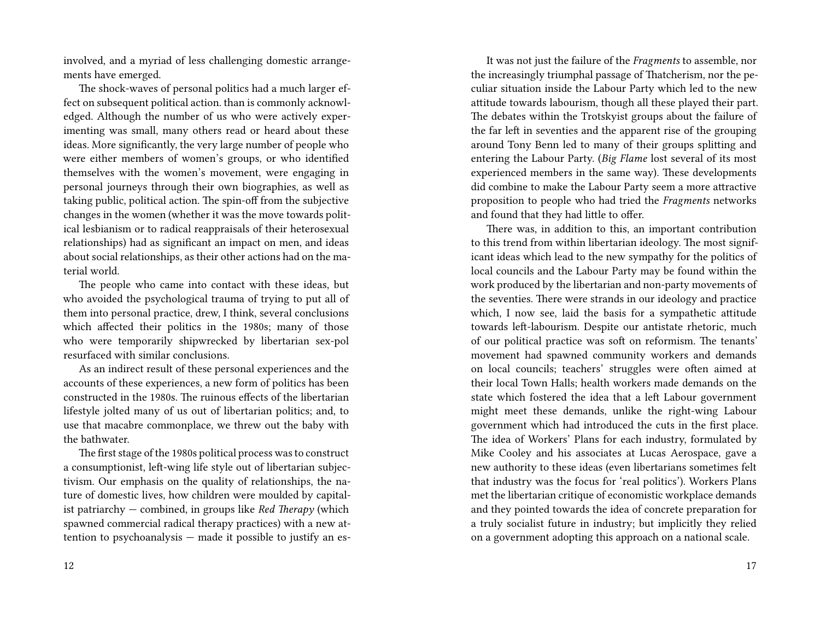involved, and a myriad of less challenging domestic arrangements have emerged.

The shock-waves of personal politics had a much larger effect on subsequent political action. than is commonly acknowledged. Although the number of us who were actively experimenting was small, many others read or heard about these ideas. More significantly, the very large number of people who were either members of women's groups, or who identified themselves with the women's movement, were engaging in personal journeys through their own biographies, as well as taking public, political action. The spin-off from the subjective changes in the women (whether it was the move towards political lesbianism or to radical reappraisals of their heterosexual relationships) had as significant an impact on men, and ideas about social relationships, as their other actions had on the material world.

The people who came into contact with these ideas, but who avoided the psychological trauma of trying to put all of them into personal practice, drew, I think, several conclusions which affected their politics in the 1980s; many of those who were temporarily shipwrecked by libertarian sex-pol resurfaced with similar conclusions.

As an indirect result of these personal experiences and the accounts of these experiences, a new form of politics has been constructed in the 1980s. The ruinous effects of the libertarian lifestyle jolted many of us out of libertarian politics; and, to use that macabre commonplace, we threw out the baby with the bathwater.

The first stage of the 1980s political process was to construct a consumptionist, left-wing life style out of libertarian subjectivism. Our emphasis on the quality of relationships, the nature of domestic lives, how children were moulded by capitalist patriarchy — combined, in groups like *Red Therapy* (which spawned commercial radical therapy practices) with a new attention to psychoanalysis — made it possible to justify an es-

It was not just the failure of the *Fragments* to assemble, nor the increasingly triumphal passage of Thatcherism, nor the peculiar situation inside the Labour Party which led to the new attitude towards labourism, though all these played their part. The debates within the Trotskyist groups about the failure of the far left in seventies and the apparent rise of the grouping around Tony Benn led to many of their groups splitting and entering the Labour Party. (*Big Flame* lost several of its most experienced members in the same way). These developments did combine to make the Labour Party seem a more attractive proposition to people who had tried the *Fragments* networks and found that they had little to offer.

There was, in addition to this, an important contribution to this trend from within libertarian ideology. The most significant ideas which lead to the new sympathy for the politics of local councils and the Labour Party may be found within the work produced by the libertarian and non-party movements of the seventies. There were strands in our ideology and practice which, I now see, laid the basis for a sympathetic attitude towards left-labourism. Despite our antistate rhetoric, much of our political practice was soft on reformism. The tenants' movement had spawned community workers and demands on local councils; teachers' struggles were often aimed at their local Town Halls; health workers made demands on the state which fostered the idea that a left Labour government might meet these demands, unlike the right-wing Labour government which had introduced the cuts in the first place. The idea of Workers' Plans for each industry, formulated by Mike Cooley and his associates at Lucas Aerospace, gave a new authority to these ideas (even libertarians sometimes felt that industry was the focus for 'real politics'). Workers Plans met the libertarian critique of economistic workplace demands and they pointed towards the idea of concrete preparation for a truly socialist future in industry; but implicitly they relied on a government adopting this approach on a national scale.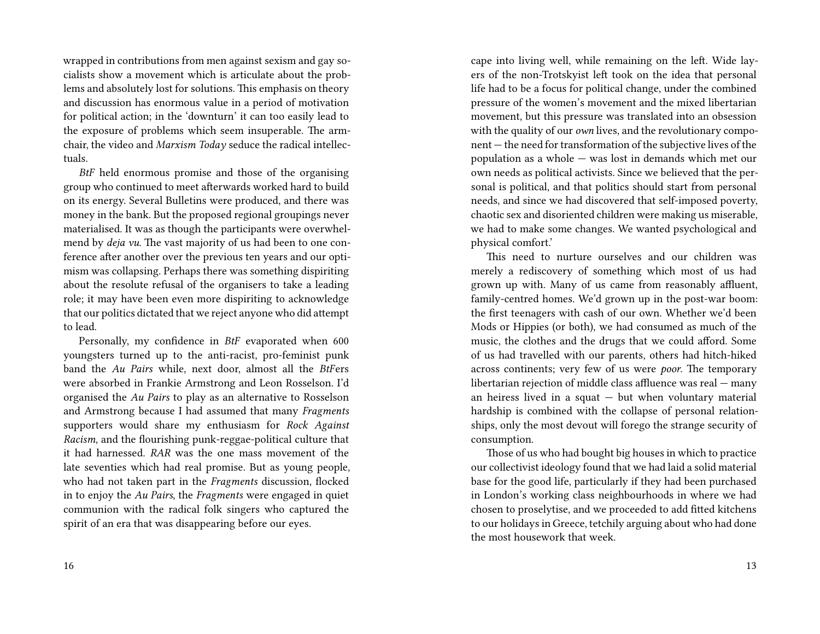wrapped in contributions from men against sexism and gay socialists show a movement which is articulate about the problems and absolutely lost for solutions. This emphasis on theory and discussion has enormous value in a period of motivation for political action; in the 'downturn' it can too easily lead to the exposure of problems which seem insuperable. The armchair, the video and *Marxism Today* seduce the radical intellectuals.

*BtF* held enormous promise and those of the organising group who continued to meet afterwards worked hard to build on its energy. Several Bulletins were produced, and there was money in the bank. But the proposed regional groupings never materialised. It was as though the participants were overwhelmend by *deja vu*. The vast majority of us had been to one conference after another over the previous ten years and our optimism was collapsing. Perhaps there was something dispiriting about the resolute refusal of the organisers to take a leading role; it may have been even more dispiriting to acknowledge that our politics dictated that we reject anyone who did attempt to lead.

Personally, my confidence in *BtF* evaporated when 600 youngsters turned up to the anti-racist, pro-feminist punk band the *Au Pairs* while, next door, almost all the *BtF*ers were absorbed in Frankie Armstrong and Leon Rosselson. I'd organised the *Au Pairs* to play as an alternative to Rosselson and Armstrong because I had assumed that many *Fragments* supporters would share my enthusiasm for *Rock Against Racism*, and the flourishing punk-reggae-political culture that it had harnessed. *RAR* was the one mass movement of the late seventies which had real promise. But as young people, who had not taken part in the *Fragments* discussion, flocked in to enjoy the *Au Pairs*, the *Fragments* were engaged in quiet communion with the radical folk singers who captured the spirit of an era that was disappearing before our eyes.

cape into living well, while remaining on the left. Wide layers of the non-Trotskyist left took on the idea that personal life had to be a focus for political change, under the combined pressure of the women's movement and the mixed libertarian movement, but this pressure was translated into an obsession with the quality of our *own* lives, and the revolutionary component — the need for transformation of the subjective lives of the population as a whole — was lost in demands which met our own needs as political activists. Since we believed that the personal is political, and that politics should start from personal needs, and since we had discovered that self-imposed poverty, chaotic sex and disoriented children were making us miserable, we had to make some changes. We wanted psychological and physical comfort.'

This need to nurture ourselves and our children was merely a rediscovery of something which most of us had grown up with. Many of us came from reasonably affluent, family-centred homes. We'd grown up in the post-war boom: the first teenagers with cash of our own. Whether we'd been Mods or Hippies (or both), we had consumed as much of the music, the clothes and the drugs that we could afford. Some of us had travelled with our parents, others had hitch-hiked across continents; very few of us were *poor*. The temporary libertarian rejection of middle class affluence was real — many an heiress lived in a squat  $-$  but when voluntary material hardship is combined with the collapse of personal relationships, only the most devout will forego the strange security of consumption.

Those of us who had bought big houses in which to practice our collectivist ideology found that we had laid a solid material base for the good life, particularly if they had been purchased in London's working class neighbourhoods in where we had chosen to proselytise, and we proceeded to add fitted kitchens to our holidays in Greece, tetchily arguing about who had done the most housework that week.